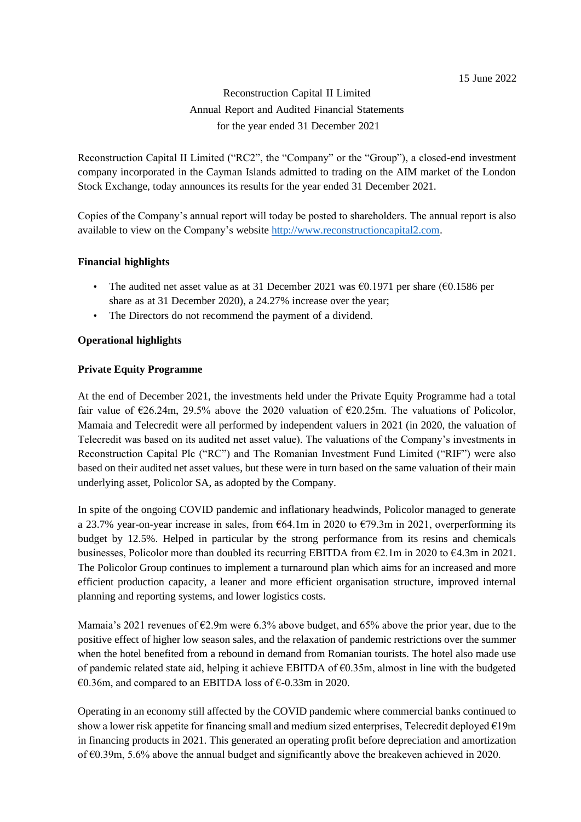# Reconstruction Capital II Limited Annual Report and Audited Financial Statements for the year ended 31 December 2021

Reconstruction Capital II Limited ("RC2", the "Company" or the "Group"), a closed-end investment company incorporated in the Cayman Islands admitted to trading on the AIM market of the London Stock Exchange, today announces its results for the year ended 31 December 2021.

Copies of the Company's annual report will today be posted to shareholders. The annual report is also available to view on the Company's website [http://www.reconstructioncapital2.com.](http://www.reconstructioncapital2.com/)

# **Financial highlights**

- The audited net asset value as at 31 December 2021 was  $\epsilon$ 0.1971 per share ( $\epsilon$ 0.1586 per share as at 31 December 2020), a 24.27% increase over the year;
- The Directors do not recommend the payment of a dividend.

#### **Operational highlights**

## **Private Equity Programme**

At the end of December 2021, the investments held under the Private Equity Programme had a total fair value of  $\epsilon$ 26.24m, 29.5% above the 2020 valuation of  $\epsilon$ 20.25m. The valuations of Policolor, Mamaia and Telecredit were all performed by independent valuers in 2021 (in 2020, the valuation of Telecredit was based on its audited net asset value). The valuations of the Company's investments in Reconstruction Capital Plc ("RC") and The Romanian Investment Fund Limited ("RIF") were also based on their audited net asset values, but these were in turn based on the same valuation of their main underlying asset, Policolor SA, as adopted by the Company.

In spite of the ongoing COVID pandemic and inflationary headwinds, Policolor managed to generate a 23.7% year-on-year increase in sales, from €64.1m in 2020 to €79.3m in 2021, overperforming its budget by 12.5%. Helped in particular by the strong performance from its resins and chemicals businesses, Policolor more than doubled its recurring EBITDA from  $\epsilon$ 2.1m in 2020 to  $\epsilon$ 4.3m in 2021. The Policolor Group continues to implement a turnaround plan which aims for an increased and more efficient production capacity, a leaner and more efficient organisation structure, improved internal planning and reporting systems, and lower logistics costs.

Mamaia's 2021 revenues of  $\epsilon$ 2.9m were 6.3% above budget, and 65% above the prior year, due to the positive effect of higher low season sales, and the relaxation of pandemic restrictions over the summer when the hotel benefited from a rebound in demand from Romanian tourists. The hotel also made use of pandemic related state aid, helping it achieve EBITDA of  $\epsilon$ 0.35m, almost in line with the budgeted €0.36m, and compared to an EBITDA loss of €-0.33m in 2020.

Operating in an economy still affected by the COVID pandemic where commercial banks continued to show a lower risk appetite for financing small and medium sized enterprises, Telecredit deployed  $\epsilon$ 19m in financing products in 2021. This generated an operating profit before depreciation and amortization of €0.39m, 5.6% above the annual budget and significantly above the breakeven achieved in 2020.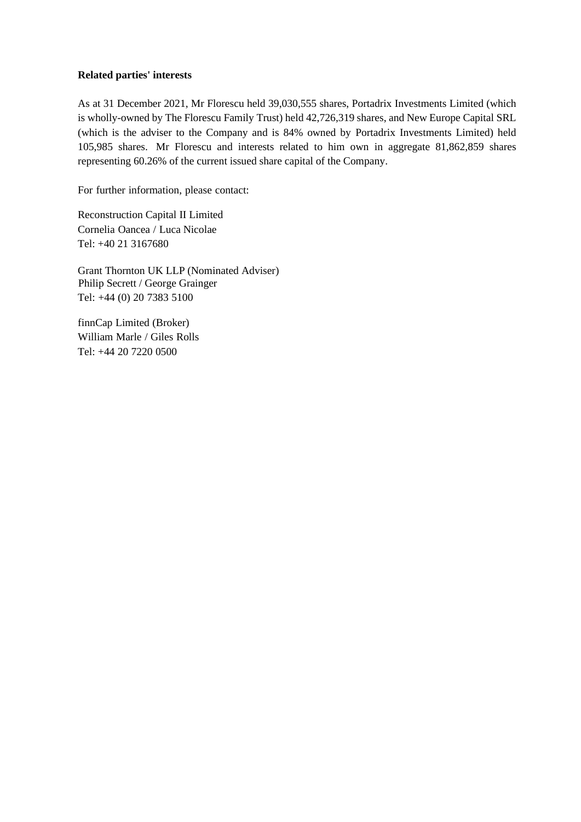#### **Related parties' interests**

As at 31 December 2021, Mr Florescu held 39,030,555 shares, Portadrix Investments Limited (which is wholly-owned by The Florescu Family Trust) held 42,726,319 shares, and New Europe Capital SRL (which is the adviser to the Company and is 84% owned by Portadrix Investments Limited) held 105,985 shares. Mr Florescu and interests related to him own in aggregate 81,862,859 shares representing 60.26% of the current issued share capital of the Company.

For further information, please contact:

Reconstruction Capital II Limited Cornelia Oancea / Luca Nicolae Tel: +40 21 3167680

Grant Thornton UK LLP (Nominated Adviser) Philip Secrett / George Grainger Tel: +44 (0) 20 7383 5100

finnCap Limited (Broker) William Marle / Giles Rolls Tel: +44 20 7220 0500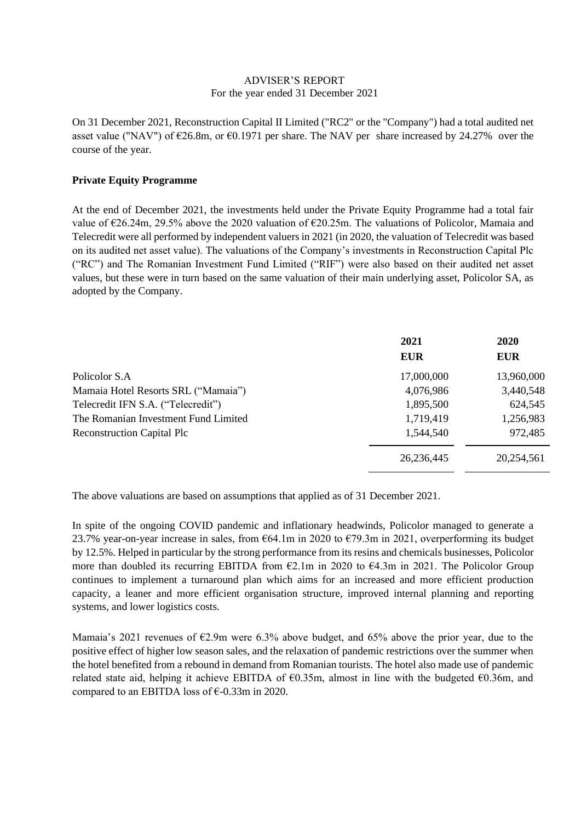#### ADVISER'S REPORT For the year ended 31 December 2021

On 31 December 2021, Reconstruction Capital II Limited ("RC2" or the "Company") had a total audited net asset value ("NAV") of  $\epsilon$ 26.8m, or  $\epsilon$ 0.1971 per share. The NAV per share increased by 24.27% over the course of the year.

## **Private Equity Programme**

At the end of December 2021, the investments held under the Private Equity Programme had a total fair value of €26.24m, 29.5% above the 2020 valuation of €20.25m. The valuations of Policolor, Mamaia and Telecredit were all performed by independent valuers in 2021 (in 2020, the valuation of Telecredit was based on its audited net asset value). The valuations of the Company's investments in Reconstruction Capital Plc ("RC") and The Romanian Investment Fund Limited ("RIF") were also based on their audited net asset values, but these were in turn based on the same valuation of their main underlying asset, Policolor SA, as adopted by the Company.

|                                      | 2021<br><b>EUR</b> | 2020<br><b>EUR</b> |
|--------------------------------------|--------------------|--------------------|
| Policolor S.A                        | 17,000,000         | 13,960,000         |
| Mamaia Hotel Resorts SRL ("Mamaia")  | 4,076,986          | 3,440,548          |
| Telecredit IFN S.A. ("Telecredit")   | 1,895,500          | 624,545            |
| The Romanian Investment Fund Limited | 1,719,419          | 1,256,983          |
| <b>Reconstruction Capital Plc</b>    | 1,544,540          | 972,485            |
|                                      | 26, 236, 445       | 20,254,561         |

The above valuations are based on assumptions that applied as of 31 December 2021.

In spite of the ongoing COVID pandemic and inflationary headwinds, Policolor managed to generate a 23.7% year-on-year increase in sales, from €64.1m in 2020 to €79.3m in 2021, overperforming its budget by 12.5%. Helped in particular by the strong performance from its resins and chemicals businesses, Policolor more than doubled its recurring EBITDA from  $\epsilon$ 2.1m in 2020 to  $\epsilon$ 4.3m in 2021. The Policolor Group continues to implement a turnaround plan which aims for an increased and more efficient production capacity, a leaner and more efficient organisation structure, improved internal planning and reporting systems, and lower logistics costs.

Mamaia's 2021 revenues of €2.9m were 6.3% above budget, and 65% above the prior year, due to the positive effect of higher low season sales, and the relaxation of pandemic restrictions over the summer when the hotel benefited from a rebound in demand from Romanian tourists. The hotel also made use of pandemic related state aid, helping it achieve EBITDA of  $\epsilon$ 0.35m, almost in line with the budgeted  $\epsilon$ 0.36m, and compared to an EBITDA loss of  $\epsilon$ -0.33m in 2020.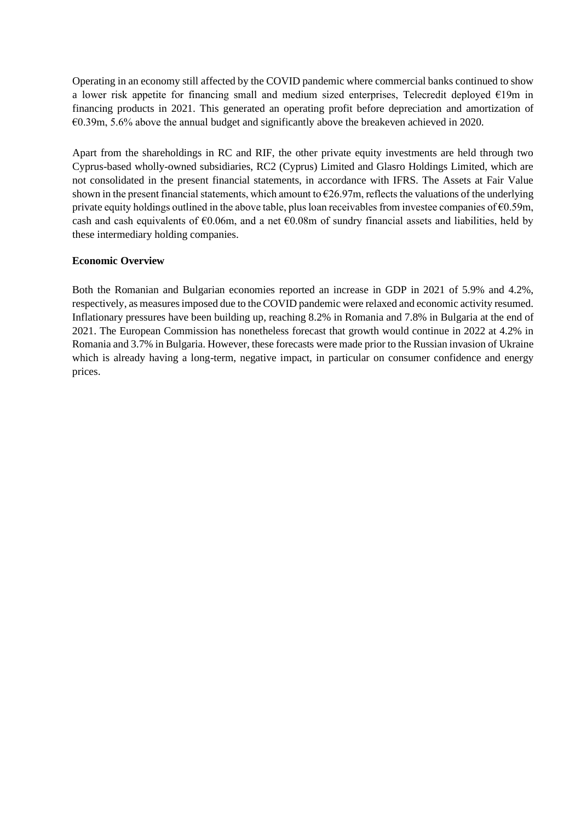Operating in an economy still affected by the COVID pandemic where commercial banks continued to show a lower risk appetite for financing small and medium sized enterprises, Telecredit deployed €19m in financing products in 2021. This generated an operating profit before depreciation and amortization of €0.39m, 5.6% above the annual budget and significantly above the breakeven achieved in 2020.

Apart from the shareholdings in RC and RIF, the other private equity investments are held through two Cyprus-based wholly-owned subsidiaries, RC2 (Cyprus) Limited and Glasro Holdings Limited, which are not consolidated in the present financial statements, in accordance with IFRS. The Assets at Fair Value shown in the present financial statements, which amount to  $\epsilon$ 26.97m, reflects the valuations of the underlying private equity holdings outlined in the above table, plus loan receivables from investee companies of  $\epsilon$ 0.59m, cash and cash equivalents of €0.06m, and a net €0.08m of sundry financial assets and liabilities, held by these intermediary holding companies.

## **Economic Overview**

Both the Romanian and Bulgarian economies reported an increase in GDP in 2021 of 5.9% and 4.2%, respectively, as measures imposed due to the COVID pandemic were relaxed and economic activity resumed. Inflationary pressures have been building up, reaching 8.2% in Romania and 7.8% in Bulgaria at the end of 2021. The European Commission has nonetheless forecast that growth would continue in 2022 at 4.2% in Romania and 3.7% in Bulgaria. However, these forecasts were made prior to the Russian invasion of Ukraine which is already having a long-term, negative impact, in particular on consumer confidence and energy prices.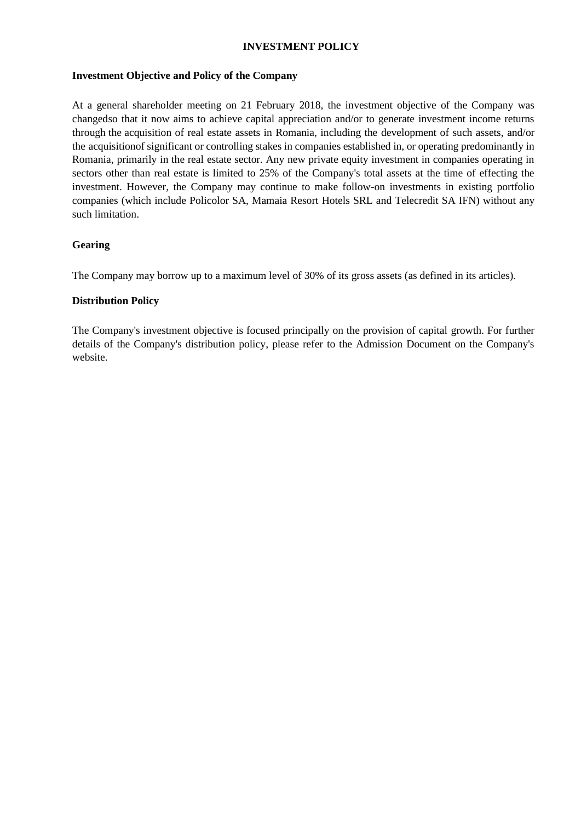# **INVESTMENT POLICY**

#### **Investment Objective and Policy of the Company**

At a general shareholder meeting on 21 February 2018, the investment objective of the Company was changedso that it now aims to achieve capital appreciation and/or to generate investment income returns through the acquisition of real estate assets in Romania, including the development of such assets, and/or the acquisitionof significant or controlling stakes in companies established in, or operating predominantly in Romania, primarily in the real estate sector. Any new private equity investment in companies operating in sectors other than real estate is limited to 25% of the Company's total assets at the time of effecting the investment. However, the Company may continue to make follow-on investments in existing portfolio companies (which include Policolor SA, Mamaia Resort Hotels SRL and Telecredit SA IFN) without any such limitation.

## **Gearing**

The Company may borrow up to a maximum level of 30% of its gross assets (as defined in its articles).

## **Distribution Policy**

The Company's investment objective is focused principally on the provision of capital growth. For further details of the Company's distribution policy, please refer to the Admission Document on the Company's website.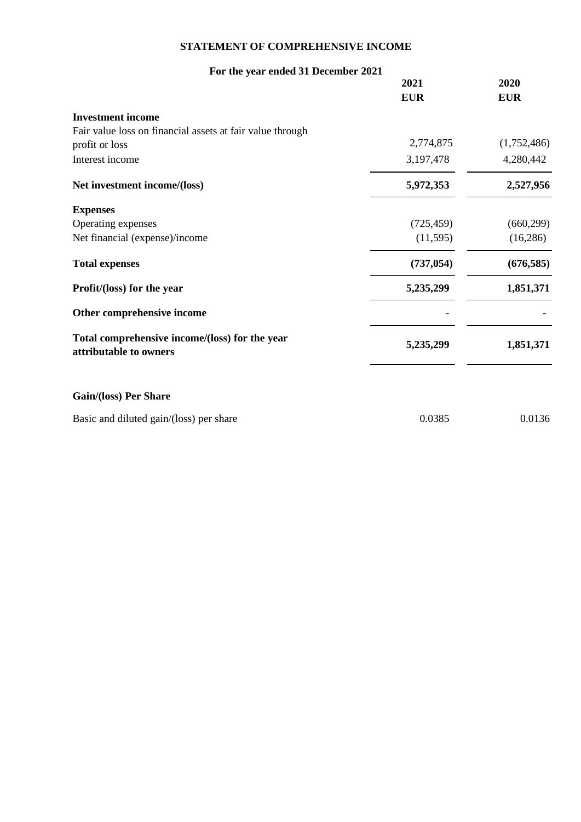# **STATEMENT OF COMPREHENSIVE INCOME**

| For the year ended 31 December 2021                                      |            |             |
|--------------------------------------------------------------------------|------------|-------------|
|                                                                          | 2021       | 2020        |
|                                                                          | <b>EUR</b> | <b>EUR</b>  |
| <b>Investment income</b>                                                 |            |             |
| Fair value loss on financial assets at fair value through                |            |             |
| profit or loss                                                           | 2,774,875  | (1,752,486) |
| Interest income                                                          | 3,197,478  | 4,280,442   |
| Net investment income/(loss)                                             | 5,972,353  | 2,527,956   |
| <b>Expenses</b>                                                          |            |             |
| Operating expenses                                                       | (725, 459) | (660, 299)  |
| Net financial (expense)/income                                           | (11,595)   | (16, 286)   |
| <b>Total expenses</b>                                                    | (737, 054) | (676, 585)  |
| Profit/(loss) for the year                                               | 5,235,299  | 1,851,371   |
| Other comprehensive income                                               |            |             |
| Total comprehensive income/(loss) for the year<br>attributable to owners | 5,235,299  | 1,851,371   |
| <b>Gain/(loss) Per Share</b>                                             |            |             |
| Basic and diluted gain/(loss) per share                                  | 0.0385     | 0.0136      |
|                                                                          |            |             |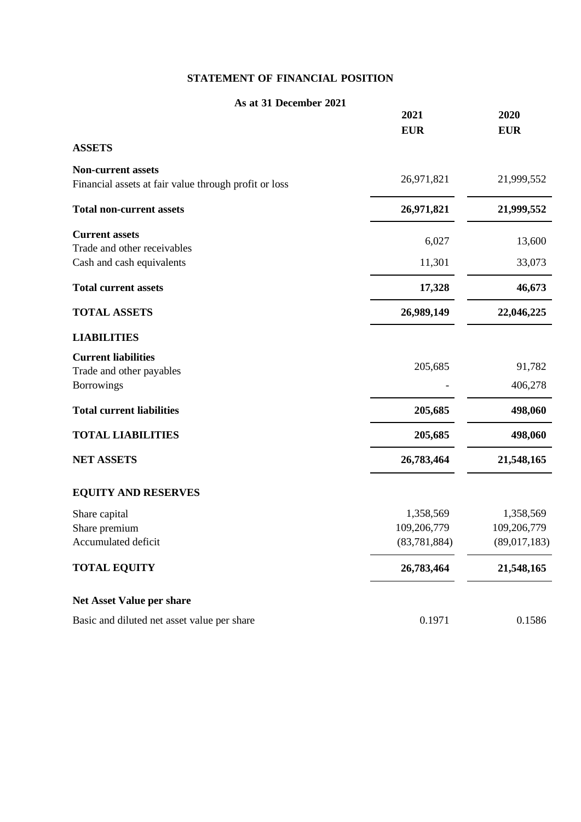# **STATEMENT OF FINANCIAL POSITION**

| As at 31 December 2021                                                      | 2021                          | 2020                        |
|-----------------------------------------------------------------------------|-------------------------------|-----------------------------|
|                                                                             | <b>EUR</b>                    | <b>EUR</b>                  |
| <b>ASSETS</b>                                                               |                               |                             |
| Non-current assets<br>Financial assets at fair value through profit or loss | 26,971,821                    | 21,999,552                  |
| <b>Total non-current assets</b>                                             | 26,971,821                    | 21,999,552                  |
| <b>Current assets</b>                                                       | 6,027                         | 13,600                      |
| Trade and other receivables<br>Cash and cash equivalents                    | 11,301                        | 33,073                      |
| <b>Total current assets</b>                                                 | 17,328                        | 46,673                      |
| <b>TOTAL ASSETS</b>                                                         | 26,989,149                    | 22,046,225                  |
| <b>LIABILITIES</b>                                                          |                               |                             |
| <b>Current liabilities</b><br>Trade and other payables                      | 205,685                       | 91,782                      |
| <b>Borrowings</b>                                                           |                               | 406,278                     |
| <b>Total current liabilities</b>                                            | 205,685                       | 498,060                     |
| <b>TOTAL LIABILITIES</b>                                                    | 205,685                       | 498,060                     |
| <b>NET ASSETS</b>                                                           | 26,783,464                    | 21,548,165                  |
| <b>EQUITY AND RESERVES</b>                                                  |                               |                             |
| Share capital                                                               | 1,358,569                     | 1,358,569                   |
| Share premium<br>Accumulated deficit                                        | 109,206,779<br>(83, 781, 884) | 109,206,779<br>(89,017,183) |
|                                                                             |                               |                             |
| <b>TOTAL EQUITY</b>                                                         | 26,783,464                    | 21,548,165                  |
| <b>Net Asset Value per share</b>                                            |                               |                             |
| Basic and diluted net asset value per share                                 | 0.1971                        | 0.1586                      |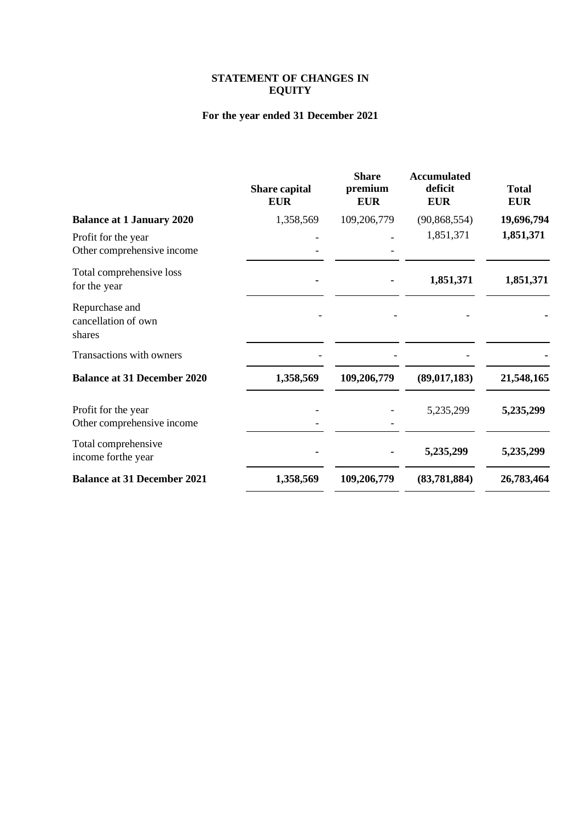## **STATEMENT OF CHANGES IN EQUITY**

# **For the year ended 31 December 2021**

|                                                   | <b>Share capital</b><br><b>EUR</b> | <b>Share</b><br>premium<br><b>EUR</b> | <b>Accumulated</b><br>deficit<br><b>EUR</b> | <b>Total</b><br><b>EUR</b> |
|---------------------------------------------------|------------------------------------|---------------------------------------|---------------------------------------------|----------------------------|
| <b>Balance at 1 January 2020</b>                  | 1,358,569                          | 109,206,779                           | (90, 868, 554)                              | 19,696,794                 |
| Profit for the year<br>Other comprehensive income |                                    |                                       | 1,851,371                                   | 1,851,371                  |
| Total comprehensive loss<br>for the year          |                                    |                                       | 1,851,371                                   | 1,851,371                  |
| Repurchase and<br>cancellation of own<br>shares   |                                    |                                       |                                             |                            |
| Transactions with owners                          |                                    |                                       |                                             |                            |
| <b>Balance at 31 December 2020</b>                | 1,358,569                          | 109,206,779                           | (89, 017, 183)                              | 21,548,165                 |
| Profit for the year<br>Other comprehensive income |                                    |                                       | 5,235,299                                   | 5,235,299                  |
| Total comprehensive<br>income for the year        |                                    |                                       | 5,235,299                                   | 5,235,299                  |
| <b>Balance at 31 December 2021</b>                | 1,358,569                          | 109,206,779                           | (83,781,884)                                | 26,783,464                 |
|                                                   |                                    |                                       |                                             |                            |